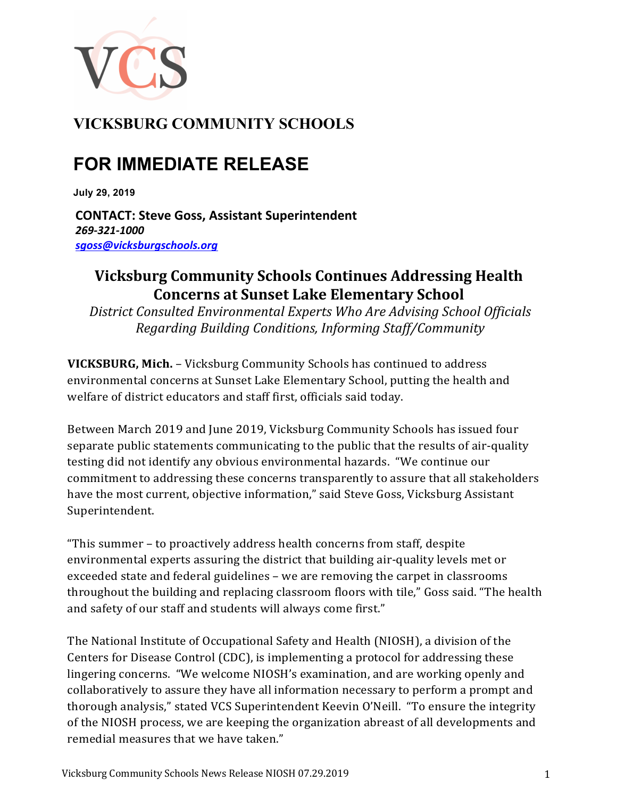

## **VICKSBURG COMMUNITY SCHOOLS**

## **FOR IMMEDIATE RELEASE**

**July 29, 2019**

**CONTACT: Steve Goss, Assistant Superintendent** *269-321-1000 sgoss@vicksburgschools.org*

## **Vicksburg Community Schools Continues Addressing Health Concerns at Sunset Lake Elementary School**

District Consulted Environmental Experts Who Are Advising School Officials *Regarding Building Conditions, Informing Staff/Community*

**VICKSBURG, Mich.** – Vicksburg Community Schools has continued to address environmental concerns at Sunset Lake Elementary School, putting the health and welfare of district educators and staff first, officials said today.

Between March 2019 and June 2019, Vicksburg Community Schools has issued four separate public statements communicating to the public that the results of air-quality testing did not identify any obvious environmental hazards. "We continue our commitment to addressing these concerns transparently to assure that all stakeholders have the most current, objective information," said Steve Goss, Vicksburg Assistant Superintendent.

"This summer - to proactively address health concerns from staff, despite environmental experts assuring the district that building air-quality levels met or exceeded state and federal guidelines - we are removing the carpet in classrooms throughout the building and replacing classroom floors with tile," Goss said. "The health and safety of our staff and students will always come first."

The National Institute of Occupational Safety and Health (NIOSH), a division of the Centers for Disease Control (CDC), is implementing a protocol for addressing these lingering concerns. "We welcome NIOSH's examination, and are working openly and collaboratively to assure they have all information necessary to perform a prompt and thorough analysis," stated VCS Superintendent Keevin O'Neill. "To ensure the integrity of the NIOSH process, we are keeping the organization abreast of all developments and remedial measures that we have taken."